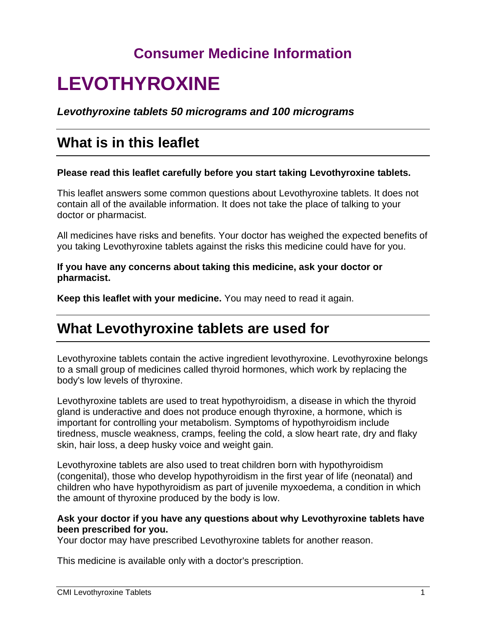## **Consumer Medicine Information**

# **LEVOTHYROXINE**

*Levothyroxine tablets 50 micrograms and 100 micrograms*

## **What is in this leaflet**

### **Please read this leaflet carefully before you start taking Levothyroxine tablets.**

This leaflet answers some common questions about Levothyroxine tablets. It does not contain all of the available information. It does not take the place of talking to your doctor or pharmacist.

All medicines have risks and benefits. Your doctor has weighed the expected benefits of you taking Levothyroxine tablets against the risks this medicine could have for you.

### **If you have any concerns about taking this medicine, ask your doctor or pharmacist.**

**Keep this leaflet with your medicine.** You may need to read it again.

## **What Levothyroxine tablets are used for**

Levothyroxine tablets contain the active ingredient levothyroxine. Levothyroxine belongs to a small group of medicines called thyroid hormones, which work by replacing the body's low levels of thyroxine.

Levothyroxine tablets are used to treat hypothyroidism, a disease in which the thyroid gland is underactive and does not produce enough thyroxine, a hormone, which is important for controlling your metabolism. Symptoms of hypothyroidism include tiredness, muscle weakness, cramps, feeling the cold, a slow heart rate, dry and flaky skin, hair loss, a deep husky voice and weight gain.

Levothyroxine tablets are also used to treat children born with hypothyroidism (congenital), those who develop hypothyroidism in the first year of life (neonatal) and children who have hypothyroidism as part of juvenile myxoedema, a condition in which the amount of thyroxine produced by the body is low.

### **Ask your doctor if you have any questions about why Levothyroxine tablets have been prescribed for you.**

Your doctor may have prescribed Levothyroxine tablets for another reason.

This medicine is available only with a doctor's prescription.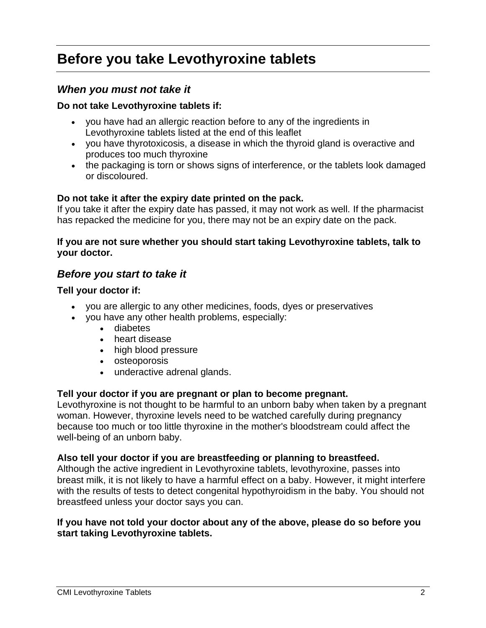## **Before you take Levothyroxine tablets**

### *When you must not take it*

### **Do not take Levothyroxine tablets if:**

- you have had an allergic reaction before to any of the ingredients in Levothyroxine tablets listed at the end of this leaflet
- you have thyrotoxicosis, a disease in which the thyroid gland is overactive and produces too much thyroxine
- the packaging is torn or shows signs of interference, or the tablets look damaged or discoloured.

### **Do not take it after the expiry date printed on the pack.**

If you take it after the expiry date has passed, it may not work as well. If the pharmacist has repacked the medicine for you, there may not be an expiry date on the pack.

### **If you are not sure whether you should start taking Levothyroxine tablets, talk to your doctor.**

### *Before you start to take it*

### **Tell your doctor if:**

- you are allergic to any other medicines, foods, dyes or preservatives
- you have any other health problems, especially:
	- diabetes
	- heart disease
	- high blood pressure
	- osteoporosis
	- underactive adrenal glands.

### **Tell your doctor if you are pregnant or plan to become pregnant.**

Levothyroxine is not thought to be harmful to an unborn baby when taken by a pregnant woman. However, thyroxine levels need to be watched carefully during pregnancy because too much or too little thyroxine in the mother's bloodstream could affect the well-being of an unborn baby.

### **Also tell your doctor if you are breastfeeding or planning to breastfeed.**

Although the active ingredient in Levothyroxine tablets, levothyroxine, passes into breast milk, it is not likely to have a harmful effect on a baby. However, it might interfere with the results of tests to detect congenital hypothyroidism in the baby. You should not breastfeed unless your doctor says you can.

### **If you have not told your doctor about any of the above, please do so before you start taking Levothyroxine tablets.**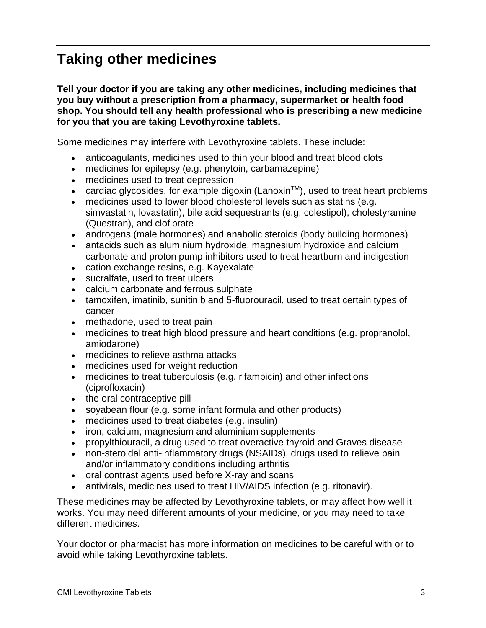## **Taking other medicines**

**Tell your doctor if you are taking any other medicines, including medicines that you buy without a prescription from a pharmacy, supermarket or health food shop. You should tell any health professional who is prescribing a new medicine for you that you are taking Levothyroxine tablets.**

Some medicines may interfere with Levothyroxine tablets. These include:

- anticoagulants, medicines used to thin your blood and treat blood clots
- medicines for epilepsy (e.g. phenytoin, carbamazepine)
- medicines used to treat depression
- cardiac glycosides, for example digoxin (Lanoxin<sup>TM</sup>), used to treat heart problems
- medicines used to lower blood cholesterol levels such as statins (e.g. simvastatin, lovastatin), bile acid sequestrants (e.g. colestipol), cholestyramine (Questran), and clofibrate
- androgens (male hormones) and anabolic steroids (body building hormones)
- antacids such as aluminium hydroxide, magnesium hydroxide and calcium carbonate and proton pump inhibitors used to treat heartburn and indigestion
- cation exchange resins, e.g. Kayexalate
- sucralfate, used to treat ulcers
- calcium carbonate and ferrous sulphate
- tamoxifen, imatinib, sunitinib and 5-fluorouracil, used to treat certain types of cancer
- methadone, used to treat pain
- medicines to treat high blood pressure and heart conditions (e.g. propranolol, amiodarone)
- medicines to relieve asthma attacks
- medicines used for weight reduction
- medicines to treat tuberculosis (e.g. rifampicin) and other infections (ciprofloxacin)
- the oral contraceptive pill
- soyabean flour (e.g. some infant formula and other products)
- medicines used to treat diabetes (e.g. insulin)
- iron, calcium, magnesium and aluminium supplements
- propylthiouracil, a drug used to treat overactive thyroid and Graves disease
- non-steroidal anti-inflammatory drugs (NSAIDs), drugs used to relieve pain and/or inflammatory conditions including arthritis
- oral contrast agents used before X-ray and scans
- antivirals, medicines used to treat HIV/AIDS infection (e.g. ritonavir).

These medicines may be affected by Levothyroxine tablets, or may affect how well it works. You may need different amounts of your medicine, or you may need to take different medicines.

Your doctor or pharmacist has more information on medicines to be careful with or to avoid while taking Levothyroxine tablets.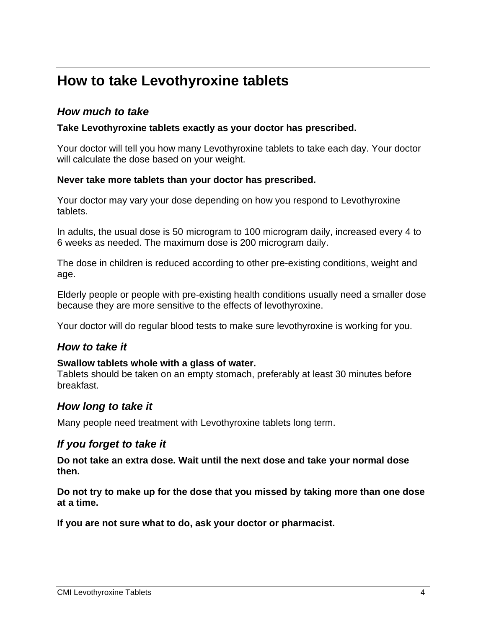## **How to take Levothyroxine tablets**

### *How much to take*

### **Take Levothyroxine tablets exactly as your doctor has prescribed.**

Your doctor will tell you how many Levothyroxine tablets to take each day. Your doctor will calculate the dose based on your weight.

### **Never take more tablets than your doctor has prescribed.**

Your doctor may vary your dose depending on how you respond to Levothyroxine tablets.

In adults, the usual dose is 50 microgram to 100 microgram daily, increased every 4 to 6 weeks as needed. The maximum dose is 200 microgram daily.

The dose in children is reduced according to other pre-existing conditions, weight and age.

Elderly people or people with pre-existing health conditions usually need a smaller dose because they are more sensitive to the effects of levothyroxine.

Your doctor will do regular blood tests to make sure levothyroxine is working for you.

### *How to take it*

### **Swallow tablets whole with a glass of water.**

Tablets should be taken on an empty stomach, preferably at least 30 minutes before breakfast.

### *How long to take it*

Many people need treatment with Levothyroxine tablets long term.

### *If you forget to take it*

**Do not take an extra dose. Wait until the next dose and take your normal dose then.**

**Do not try to make up for the dose that you missed by taking more than one dose at a time.**

**If you are not sure what to do, ask your doctor or pharmacist.**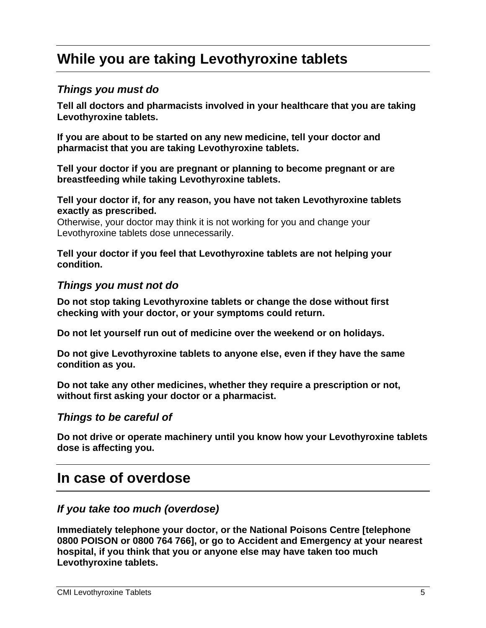## **While you are taking Levothyroxine tablets**

### *Things you must do*

**Tell all doctors and pharmacists involved in your healthcare that you are taking Levothyroxine tablets.**

**If you are about to be started on any new medicine, tell your doctor and pharmacist that you are taking Levothyroxine tablets.**

**Tell your doctor if you are pregnant or planning to become pregnant or are breastfeeding while taking Levothyroxine tablets.**

**Tell your doctor if, for any reason, you have not taken Levothyroxine tablets exactly as prescribed.**

Otherwise, your doctor may think it is not working for you and change your Levothyroxine tablets dose unnecessarily.

**Tell your doctor if you feel that Levothyroxine tablets are not helping your condition.**

### *Things you must not do*

**Do not stop taking Levothyroxine tablets or change the dose without first checking with your doctor, or your symptoms could return.**

**Do not let yourself run out of medicine over the weekend or on holidays.**

**Do not give Levothyroxine tablets to anyone else, even if they have the same condition as you.**

**Do not take any other medicines, whether they require a prescription or not, without first asking your doctor or a pharmacist.**

### *Things to be careful of*

**Do not drive or operate machinery until you know how your Levothyroxine tablets dose is affecting you.**

### **In case of overdose**

### *If you take too much (overdose)*

**Immediately telephone your doctor, or the National Poisons Centre [telephone 0800 POISON or 0800 764 766], or go to Accident and Emergency at your nearest hospital, if you think that you or anyone else may have taken too much Levothyroxine tablets.**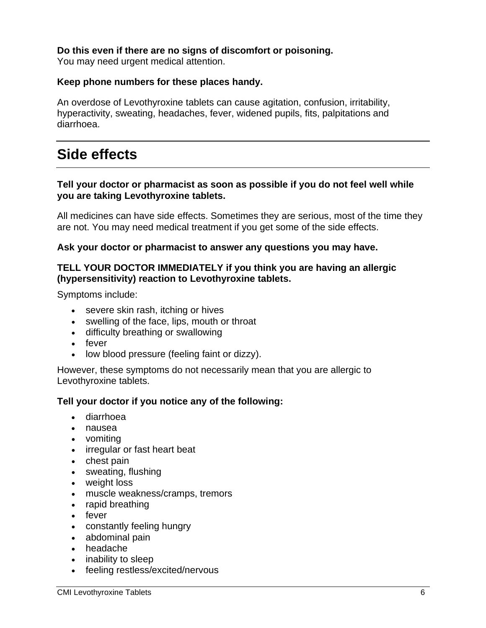### **Do this even if there are no signs of discomfort or poisoning.**

You may need urgent medical attention.

### **Keep phone numbers for these places handy.**

An overdose of Levothyroxine tablets can cause agitation, confusion, irritability, hyperactivity, sweating, headaches, fever, widened pupils, fits, palpitations and diarrhoea.

## **Side effects**

### **Tell your doctor or pharmacist as soon as possible if you do not feel well while you are taking Levothyroxine tablets.**

All medicines can have side effects. Sometimes they are serious, most of the time they are not. You may need medical treatment if you get some of the side effects.

### **Ask your doctor or pharmacist to answer any questions you may have.**

### **TELL YOUR DOCTOR IMMEDIATELY if you think you are having an allergic (hypersensitivity) reaction to Levothyroxine tablets.**

Symptoms include:

- severe skin rash, itching or hives
- swelling of the face, lips, mouth or throat
- difficulty breathing or swallowing
- fever
- low blood pressure (feeling faint or dizzy).

However, these symptoms do not necessarily mean that you are allergic to Levothyroxine tablets.

### **Tell your doctor if you notice any of the following:**

- diarrhoea
- nausea
- vomiting
- irregular or fast heart beat
- chest pain
- sweating, flushing
- weight loss
- muscle weakness/cramps, tremors
- rapid breathing
- fever
- constantly feeling hungry
- abdominal pain
- headache
- inability to sleep
- feeling restless/excited/nervous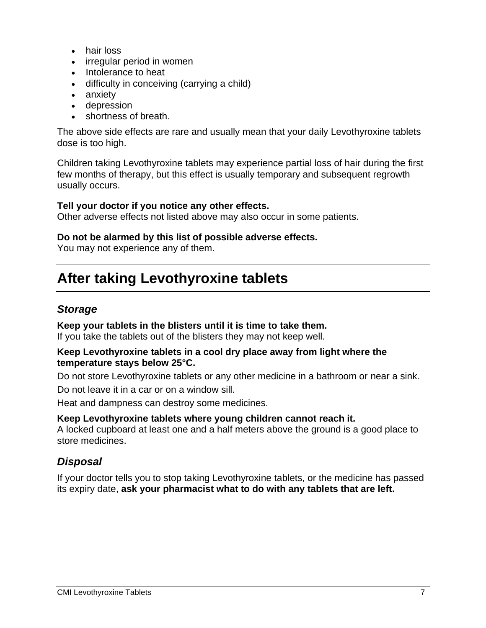- hair loss
- irregular period in women
- Intolerance to heat
- difficulty in conceiving (carrying a child)
- anxiety
- depression
- shortness of breath.

The above side effects are rare and usually mean that your daily Levothyroxine tablets dose is too high.

Children taking Levothyroxine tablets may experience partial loss of hair during the first few months of therapy, but this effect is usually temporary and subsequent regrowth usually occurs.

### **Tell your doctor if you notice any other effects.**

Other adverse effects not listed above may also occur in some patients.

### **Do not be alarmed by this list of possible adverse effects.**

You may not experience any of them.

## **After taking Levothyroxine tablets**

### *Storage*

### **Keep your tablets in the blisters until it is time to take them.**

If you take the tablets out of the blisters they may not keep well.

#### **Keep Levothyroxine tablets in a cool dry place away from light where the temperature stays below 25°C.**

Do not store Levothyroxine tablets or any other medicine in a bathroom or near a sink.

Do not leave it in a car or on a window sill.

Heat and dampness can destroy some medicines.

### **Keep Levothyroxine tablets where young children cannot reach it.**

A locked cupboard at least one and a half meters above the ground is a good place to store medicines.

### *Disposal*

If your doctor tells you to stop taking Levothyroxine tablets, or the medicine has passed its expiry date, **ask your pharmacist what to do with any tablets that are left.**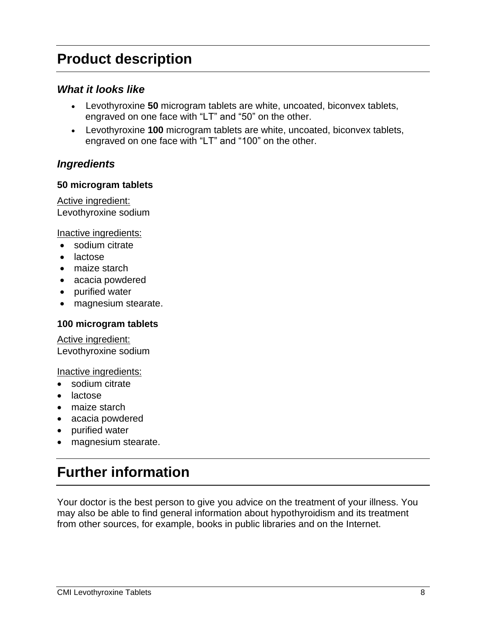## **Product description**

### *What it looks like*

- Levothyroxine **50** microgram tablets are white, uncoated, biconvex tablets, engraved on one face with "LT" and "50" on the other.
- Levothyroxine **100** microgram tablets are white, uncoated, biconvex tablets, engraved on one face with "LT" and "100" on the other.

### *Ingredients*

### **50 microgram tablets**

Active ingredient: Levothyroxine sodium

Inactive ingredients:

- sodium citrate
- lactose
- maize starch
- acacia powdered
- purified water
- magnesium stearate.

### **100 microgram tablets**

Active ingredient: Levothyroxine sodium

Inactive ingredients:

- sodium citrate
- lactose
- maize starch
- acacia powdered
- purified water
- magnesium stearate.

## **Further information**

Your doctor is the best person to give you advice on the treatment of your illness. You may also be able to find general information about hypothyroidism and its treatment from other sources, for example, books in public libraries and on the Internet.